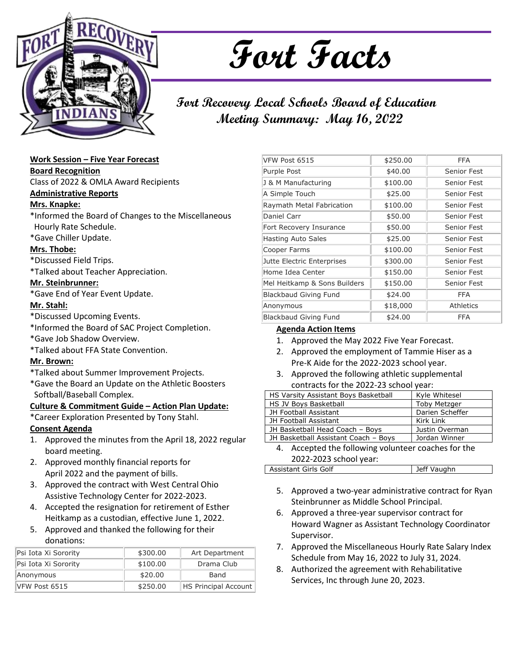

# **Fort Facts**

# **Fort Recovery Local Schools Board of Education Meeting Summary: May 16, 2022**

# **Work Session – Five Year Forecast**

**Board Recognition**

Class of 2022 & OMLA Award Recipients

#### **Administrative Reports**

# **Mrs. Knapke:**

\*Informed the Board of Changes to the Miscellaneous Hourly Rate Schedule.

\*Gave Chiller Update.

# **Mrs. Thobe:**

\*Discussed Field Trips.

\*Talked about Teacher Appreciation.

# **Mr. Steinbrunner:**

\*Gave End of Year Event Update.

#### **Mr. Stahl:**

- \*Discussed Upcoming Events.
- \*Informed the Board of SAC Project Completion.
- \*Gave Job Shadow Overview.
- \*Talked about FFA State Convention.

# **Mr. Brown:**

- \*Talked about Summer Improvement Projects.
- \*Gave the Board an Update on the Athletic Boosters Softball/Baseball Complex.

# **Culture & Commitment Guide – Action Plan Update:**

\*Career Exploration Presented by Tony Stahl.

# **Consent Agenda**

- 1. Approved the minutes from the April 18, 2022 regular board meeting.
- 2. Approved monthly financial reports for April 2022 and the payment of bills.
- 3. Approved the contract with West Central Ohio Assistive Technology Center for 2022-2023.
- 4. Accepted the resignation for retirement of Esther Heitkamp as a custodian, effective June 1, 2022.
- 5. Approved and thanked the following for their donations:

| Psi Iota Xi Sorority | \$300.00 | Art Department              |
|----------------------|----------|-----------------------------|
| Psi Iota Xi Sorority | \$100.00 | Drama Club                  |
| Anonymous            | \$20.00  | Band                        |
| VFW Post 6515        | \$250.00 | <b>HS Principal Account</b> |

| VFW Post 6515                | \$250.00 | FFA              |
|------------------------------|----------|------------------|
| Purple Post                  | \$40.00  | Senior Fest      |
| J & M Manufacturing          | \$100.00 | Senior Fest      |
| A Simple Touch               | \$25.00  | Senior Fest      |
| Raymath Metal Fabrication    | \$100.00 | Senior Fest      |
| Daniel Carr                  | \$50.00  | Senior Fest      |
| Fort Recovery Insurance      | \$50.00  | Senior Fest      |
| <b>Hasting Auto Sales</b>    | \$25.00  | Senior Fest      |
| Cooper Farms                 | \$100.00 | Senior Fest      |
| Jutte Electric Enterprises   | \$300.00 | Senior Fest      |
| Home Idea Center             | \$150.00 | Senior Fest      |
| Mel Heitkamp & Sons Builders | \$150.00 | Senior Fest      |
| <b>Blackbaud Giving Fund</b> | \$24.00  | FFA              |
| Anonymous                    | \$18,000 | <b>Athletics</b> |
| <b>Blackbaud Giving Fund</b> | \$24.00  | FFA              |

# **Agenda Action Items**

- 1. Approved the May 2022 Five Year Forecast.
- 2. Approved the employment of Tammie Hiser as a Pre-K Aide for the 2022-2023 school year.
- 3. Approved the following athletic supplemental contracts for the 2022-23 school year:

| HS Varsity Assistant Boys Basketball               | Kyle Whitesel       |  |
|----------------------------------------------------|---------------------|--|
| HS JV Boys Basketball                              | <b>Toby Metzger</b> |  |
| JH Football Assistant                              | Darien Scheffer     |  |
| JH Football Assistant                              | Kirk Link           |  |
| JH Basketball Head Coach - Boys                    | Justin Overman      |  |
| JH Basketball Assistant Coach - Boys               | Jordan Winner       |  |
| A Accorded the following volunteer conches for the |                     |  |

4. Accepted the following volunteer coaches for the 2022-2023 school year:

| Assistant Girls Golf | Jeff Vaughn |
|----------------------|-------------|
|                      |             |

- 5. Approved a two-year administrative contract for Ryan Steinbrunner as Middle School Principal.
- 6. Approved a three-year supervisor contract for Howard Wagner as Assistant Technology Coordinator Supervisor.
- 7. Approved the Miscellaneous Hourly Rate Salary Index Schedule from May 16, 2022 to July 31, 2024.
- 8. Authorized the agreement with Rehabilitative Services, Inc through June 20, 2023.